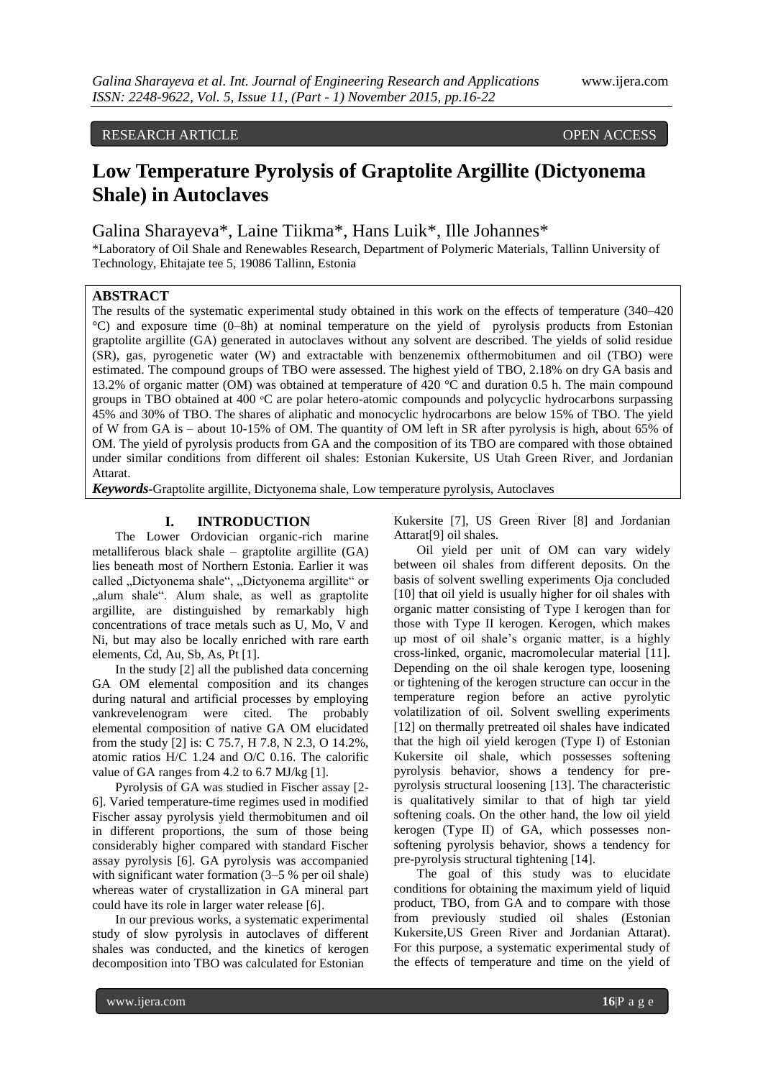# RESEARCH ARTICLE OPEN ACCESS

# **Low Temperature Pyrolysis of Graptolite Argillite (Dictyonema Shale) in Autoclaves**

Galina Sharayeva\*, Laine Tiikma\*, Hans Luik\*, Ille Johannes\*

\*Laboratory of Oil Shale and Renewables Research, Department of Polymeric Materials, Tallinn University of Technology, Ehitajate tee 5, 19086 Tallinn, Estonia

# **ABSTRACT**

The results of the systematic experimental study obtained in this work on the effects of temperature (340–420 °C) and exposure time (0–8h) at nominal temperature on the yield of pyrolysis products from Estonian graptolite argillite (GA) generated in autoclaves without any solvent are described. The yields of solid residue (SR), gas, pyrogenetic water (W) and extractable with benzenemix ofthermobitumen and oil (TBO) were estimated. The compound groups of TBO were assessed. The highest yield of TBO, 2.18% on dry GA basis and 13.2% of organic matter (OM) was obtained at temperature of 420 °C and duration 0.5 h. The main compound groups in TBO obtained at 400 °C are polar hetero-atomic compounds and polycyclic hydrocarbons surpassing 45% and 30% of TBO. The shares of aliphatic and monocyclic hydrocarbons are below 15% of TBO. The yield of W from GA is – about 10-15% of OM. The quantity of OM left in SR after pyrolysis is high, about 65% of OM. The yield of pyrolysis products from GA and the composition of its TBO are compared with those obtained under similar conditions from different oil shales: Estonian Kukersite, US Utah Green River, and Jordanian Attarat.

*Keywords***-**Graptolite argillite, Dictyonema shale, Low temperature pyrolysis, Autoclaves

# **I. INTRODUCTION**

The Lower Ordovician organic-rich marine metalliferous black shale – graptolite argillite (GA) lies beneath most of Northern Estonia. Earlier it was called "Dictyonema shale", "Dictyonema argillite" or "alum shale". Alum shale, as well as graptolite argillite, are distinguished by remarkably high concentrations of trace metals such as U, Mo, V and Ni, but may also be locally enriched with rare earth elements, Cd, Au, Sb, As, Pt [1].

In the study [2] all the published data concerning GA OM elemental composition and its changes during natural and artificial processes by employing vankrevelenogram were cited. The probably elemental composition of native GA OM elucidated from the study [2] is: C 75.7, H 7.8, N 2.3, O 14.2%, atomic ratios H/C 1.24 and O/C 0.16. The calorific value of GA ranges from 4.2 to 6.7 MJ/kg [1].

Pyrolysis of GA was studied in Fischer assay [2- 6]. Varied temperature-time regimes used in modified Fischer assay pyrolysis yield thermobitumen and oil in different proportions, the sum of those being considerably higher compared with standard Fischer assay pyrolysis [6]. GA pyrolysis was accompanied with significant water formation (3–5 % per oil shale) whereas water of crystallization in GA mineral part could have its role in larger water release [6].

In our previous works, a systematic experimental study of slow pyrolysis in autoclaves of different shales was conducted, and the kinetics of kerogen decomposition into TBO was calculated for Estonian

Kukersite [7], US Green River [8] and Jordanian Attarat[9] oil shales.

Oil yield per unit of OM can vary widely between oil shales from different deposits. On the basis of solvent swelling experiments Oja concluded [10] that oil yield is usually higher for oil shales with organic matter consisting of Type I kerogen than for those with Type II kerogen. Kerogen, which makes up most of oil shale's organic matter, is a highly cross-linked, organic, macromolecular material [11]. Depending on the oil shale kerogen type, loosening or tightening of the kerogen structure can occur in the temperature region before an active pyrolytic volatilization of oil. Solvent swelling experiments [12] on thermally pretreated oil shales have indicated that the high oil yield kerogen (Type I) of Estonian Kukersite oil shale, which possesses softening pyrolysis behavior, shows a tendency for prepyrolysis structural loosening [13]. The characteristic is qualitatively similar to that of high tar yield softening coals. On the other hand, the low oil yield kerogen (Type II) of GA, which possesses nonsoftening pyrolysis behavior, shows a tendency for pre-pyrolysis structural tightening [14].

The goal of this study was to elucidate conditions for obtaining the maximum yield of liquid product, TBO, from GA and to compare with those from previously studied oil shales (Estonian Kukersite,US Green River and Jordanian Attarat). For this purpose, a systematic experimental study of the effects of temperature and time on the yield of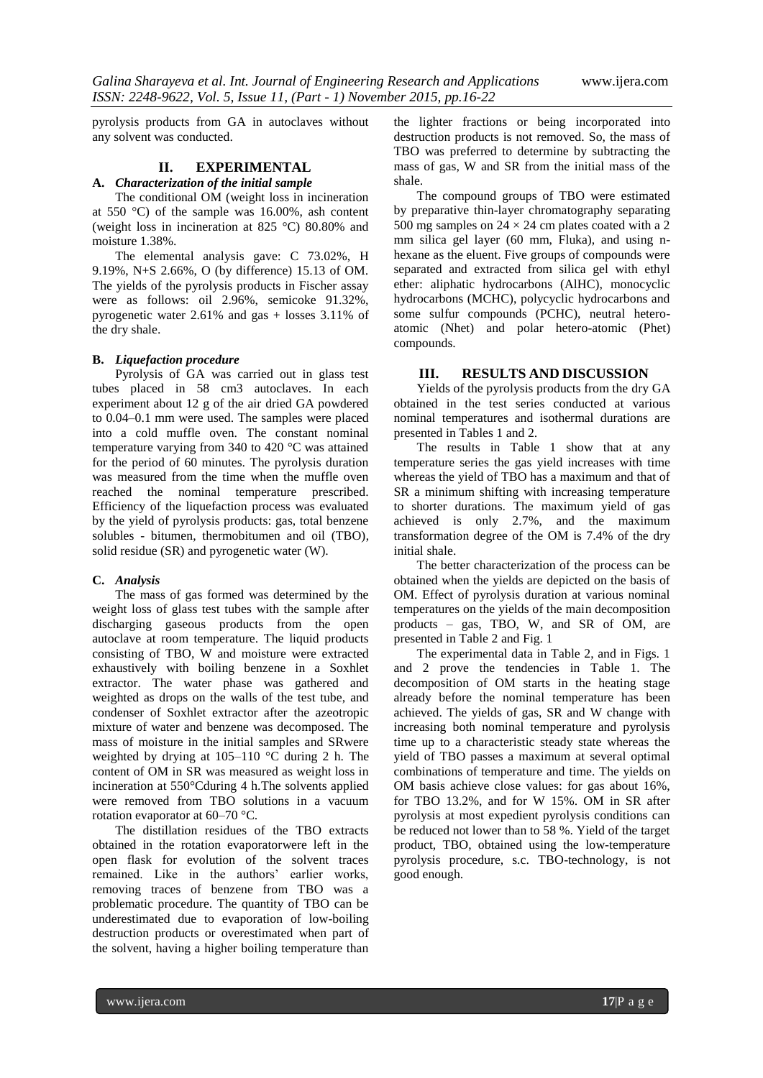pyrolysis products from GA in autoclaves without any solvent was conducted.

# **II. EXPERIMENTAL**

### **A.** *Characterization of the initial sample*

The conditional OM (weight loss in incineration at 550 °C) of the sample was 16.00%, ash content (weight loss in incineration at 825 °C) 80.80% and moisture 1.38%.

The elemental analysis gave: C 73.02%, H 9.19%, N+S 2.66%, O (by difference) 15.13 of OM. The yields of the pyrolysis products in Fischer assay were as follows: oil 2.96%, semicoke 91.32%, pyrogenetic water 2.61% and gas + losses 3.11% of the dry shale.

## **B.** *Liquefaction procedure*

Pyrolysis of GA was carried out in glass test tubes placed in 58 cm3 autoclaves. In each experiment about 12 g of the air dried GA powdered to 0.04–0.1 mm were used. The samples were placed into a cold muffle oven. The constant nominal temperature varying from 340 to 420 °C was attained for the period of 60 minutes. The pyrolysis duration was measured from the time when the muffle oven reached the nominal temperature prescribed. Efficiency of the liquefaction process was evaluated by the yield of pyrolysis products: gas, total benzene solubles - bitumen, thermobitumen and oil (TBO), solid residue (SR) and pyrogenetic water (W).

#### **C.** *Analysis*

The mass of gas formed was determined by the weight loss of glass test tubes with the sample after discharging gaseous products from the open autoclave at room temperature. The liquid products consisting of TBO, W and moisture were extracted exhaustively with boiling benzene in a Soxhlet extractor. The water phase was gathered and weighted as drops on the walls of the test tube, and condenser of Soxhlet extractor after the azeotropic mixture of water and benzene was decomposed. The mass of moisture in the initial samples and SRwere weighted by drying at 105–110 °C during 2 h. The content of OM in SR was measured as weight loss in incineration at 550°Cduring 4 h.The solvents applied were removed from TBO solutions in a vacuum rotation evaporator at 60–70 °C.

The distillation residues of the TBO extracts obtained in the rotation evaporatorwere left in the open flask for evolution of the solvent traces remained. Like in the authors' earlier works, removing traces of benzene from TBO was a problematic procedure. The quantity of TBO can be underestimated due to evaporation of low-boiling destruction products or overestimated when part of the solvent, having a higher boiling temperature than

the lighter fractions or being incorporated into destruction products is not removed. So, the mass of TBO was preferred to determine by subtracting the mass of gas, W and SR from the initial mass of the shale.

The compound groups of TBO were estimated by preparative thin-layer chromatography separating 500 mg samples on  $24 \times 24$  cm plates coated with a 2 mm silica gel layer (60 mm, Fluka), and using nhexane as the eluent. Five groups of compounds were separated and extracted from silica gel with ethyl ether: aliphatic hydrocarbons (AlHC), monocyclic hydrocarbons (MCHC), polycyclic hydrocarbons and some sulfur compounds (PCHC), neutral heteroatomic (Nhet) and polar hetero-atomic (Phet) compounds.

## **III. RESULTS AND DISCUSSION**

Yields of the pyrolysis products from the dry GA obtained in the test series conducted at various nominal temperatures and isothermal durations are presented in Tables 1 and 2.

The results in Table 1 show that at any temperature series the gas yield increases with time whereas the yield of TBO has a maximum and that of SR a minimum shifting with increasing temperature to shorter durations. The maximum yield of gas achieved is only 2.7%, and the maximum transformation degree of the OM is 7.4% of the dry initial shale.

The better characterization of the process can be obtained when the yields are depicted on the basis of OM. Effect of pyrolysis duration at various nominal temperatures on the yields of the main decomposition products – gas, TBO, W, and SR of OM, are presented in Table 2 and Fig. 1

The experimental data in Table 2, and in Figs. 1 and 2 prove the tendencies in Table 1. The decomposition of OM starts in the heating stage already before the nominal temperature has been achieved. The yields of gas, SR and W change with increasing both nominal temperature and pyrolysis time up to a characteristic steady state whereas the yield of TBO passes a maximum at several optimal combinations of temperature and time. The yields on OM basis achieve close values: for gas about 16%, for TBO 13.2%, and for W 15%. OM in SR after pyrolysis at most expedient pyrolysis conditions can be reduced not lower than to 58 %. Yield of the target product, TBO, obtained using the low-temperature pyrolysis procedure, s.c. TBO-technology, is not good enough.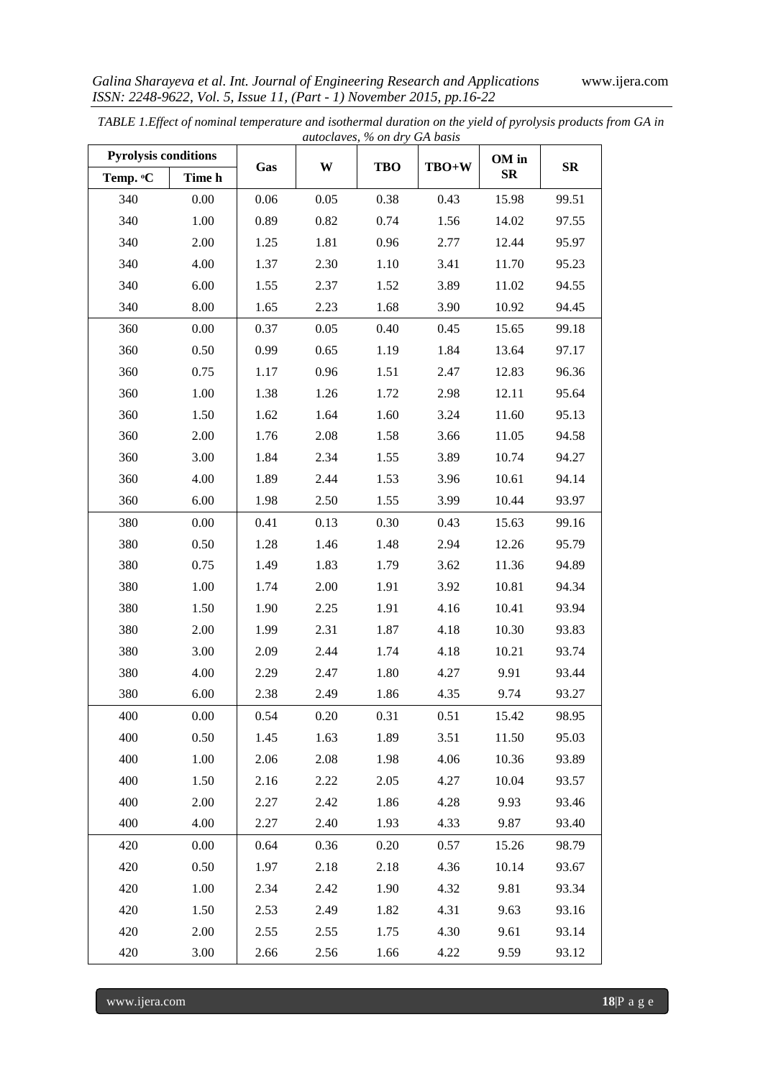|                             |        |      |      | autociaves, % on ary GA basis |       |                           |            |
|-----------------------------|--------|------|------|-------------------------------|-------|---------------------------|------------|
| <b>Pyrolysis conditions</b> |        | Gas  | W    | <b>TBO</b>                    | TBO+W | OM in<br>$S_{\mathbf{R}}$ | ${\bf SR}$ |
| Temp. <sup>o</sup> C        | Time h |      |      |                               |       |                           |            |
| 340                         | 0.00   | 0.06 | 0.05 | 0.38                          | 0.43  | 15.98                     | 99.51      |
| 340                         | 1.00   | 0.89 | 0.82 | 0.74                          | 1.56  | 14.02                     | 97.55      |
| 340                         | 2.00   | 1.25 | 1.81 | 0.96                          | 2.77  | 12.44                     | 95.97      |
| 340                         | 4.00   | 1.37 | 2.30 | 1.10                          | 3.41  | 11.70                     | 95.23      |
| 340                         | 6.00   | 1.55 | 2.37 | 1.52                          | 3.89  | 11.02                     | 94.55      |
| 340                         | 8.00   | 1.65 | 2.23 | 1.68                          | 3.90  | 10.92                     | 94.45      |
| 360                         | 0.00   | 0.37 | 0.05 | 0.40                          | 0.45  | 15.65                     | 99.18      |
| 360                         | 0.50   | 0.99 | 0.65 | 1.19                          | 1.84  | 13.64                     | 97.17      |
| 360                         | 0.75   | 1.17 | 0.96 | 1.51                          | 2.47  | 12.83                     | 96.36      |
| 360                         | 1.00   | 1.38 | 1.26 | 1.72                          | 2.98  | 12.11                     | 95.64      |
| 360                         | 1.50   | 1.62 | 1.64 | 1.60                          | 3.24  | 11.60                     | 95.13      |
| 360                         | 2.00   | 1.76 | 2.08 | 1.58                          | 3.66  | 11.05                     | 94.58      |
| 360                         | 3.00   | 1.84 | 2.34 | 1.55                          | 3.89  | 10.74                     | 94.27      |
| 360                         | 4.00   | 1.89 | 2.44 | 1.53                          | 3.96  | 10.61                     | 94.14      |
| 360                         | 6.00   | 1.98 | 2.50 | 1.55                          | 3.99  | 10.44                     | 93.97      |
| 380                         | 0.00   | 0.41 | 0.13 | 0.30                          | 0.43  | 15.63                     | 99.16      |
| 380                         | 0.50   | 1.28 | 1.46 | 1.48                          | 2.94  | 12.26                     | 95.79      |
| 380                         | 0.75   | 1.49 | 1.83 | 1.79                          | 3.62  | 11.36                     | 94.89      |
| 380                         | 1.00   | 1.74 | 2.00 | 1.91                          | 3.92  | 10.81                     | 94.34      |
| 380                         | 1.50   | 1.90 | 2.25 | 1.91                          | 4.16  | 10.41                     | 93.94      |
| 380                         | 2.00   | 1.99 | 2.31 | 1.87                          | 4.18  | 10.30                     | 93.83      |
| 380                         | 3.00   | 2.09 | 2.44 | 1.74                          | 4.18  | 10.21                     | 93.74      |
| 380                         | 4.00   | 2.29 | 2.47 | 1.80                          | 4.27  | 9.91                      | 93.44      |
| 380                         | 6.00   | 2.38 | 2.49 | 1.86                          | 4.35  | 9.74                      | 93.27      |
| 400                         | 0.00   | 0.54 | 0.20 | 0.31                          | 0.51  | 15.42                     | 98.95      |
| 400                         | 0.50   | 1.45 | 1.63 | 1.89                          | 3.51  | 11.50                     | 95.03      |
| 400                         | 1.00   | 2.06 | 2.08 | 1.98                          | 4.06  | 10.36                     | 93.89      |
| 400                         | 1.50   | 2.16 | 2.22 | 2.05                          | 4.27  | 10.04                     | 93.57      |
| 400                         | 2.00   | 2.27 | 2.42 | 1.86                          | 4.28  | 9.93                      | 93.46      |
| 400                         | 4.00   | 2.27 | 2.40 | 1.93                          | 4.33  | 9.87                      | 93.40      |
| 420                         | 0.00   | 0.64 | 0.36 | 0.20                          | 0.57  | 15.26                     | 98.79      |
| 420                         | 0.50   | 1.97 | 2.18 | 2.18                          | 4.36  | 10.14                     | 93.67      |
| 420                         | 1.00   | 2.34 | 2.42 | 1.90                          | 4.32  | 9.81                      | 93.34      |
| 420                         | 1.50   | 2.53 | 2.49 | 1.82                          | 4.31  | 9.63                      | 93.16      |
| 420                         | 2.00   | 2.55 | 2.55 | 1.75                          | 4.30  | 9.61                      | 93.14      |
| 420                         | 3.00   | 2.66 | 2.56 | 1.66                          | 4.22  | 9.59                      | 93.12      |

*TABLE 1.Effect of nominal temperature and isothermal duration on the yield of pyrolysis products from GA in autoclaves, % on dry GA basis*

www.ijera.com **18**|P a g e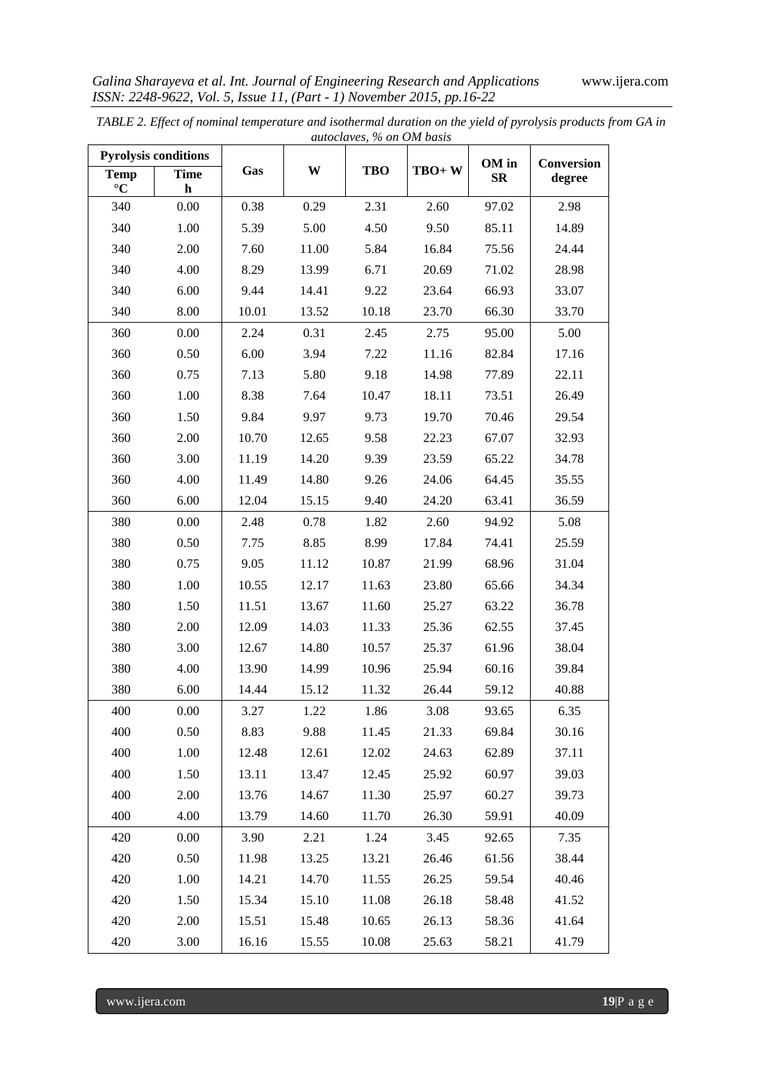| autoclaves, % on OM basis      |                            |       |       |            |       |                  |            |
|--------------------------------|----------------------------|-------|-------|------------|-------|------------------|------------|
| <b>Pyrolysis conditions</b>    |                            |       |       |            |       | OM in            | Conversion |
| <b>Temp</b><br>$\rm ^{\circ}C$ | <b>Time</b><br>$\mathbf h$ | Gas   | W     | <b>TBO</b> | TBO+W | $S_{\mathbf{R}}$ | degree     |
| 340                            | 0.00                       | 0.38  | 0.29  | 2.31       | 2.60  | 97.02            | 2.98       |
| 340                            | 1.00                       | 5.39  | 5.00  | 4.50       | 9.50  | 85.11            | 14.89      |
| 340                            | 2.00                       | 7.60  | 11.00 | 5.84       | 16.84 | 75.56            | 24.44      |
| 340                            | 4.00                       | 8.29  | 13.99 | 6.71       | 20.69 | 71.02            | 28.98      |
| 340                            | 6.00                       | 9.44  | 14.41 | 9.22       | 23.64 | 66.93            | 33.07      |
| 340                            | 8.00                       | 10.01 | 13.52 | 10.18      | 23.70 | 66.30            | 33.70      |
| 360                            | 0.00                       | 2.24  | 0.31  | 2.45       | 2.75  | 95.00            | 5.00       |
| 360                            | 0.50                       | 6.00  | 3.94  | 7.22       | 11.16 | 82.84            | 17.16      |
| 360                            | 0.75                       | 7.13  | 5.80  | 9.18       | 14.98 | 77.89            | 22.11      |
| 360                            | 1.00                       | 8.38  | 7.64  | 10.47      | 18.11 | 73.51            | 26.49      |
| 360                            | 1.50                       | 9.84  | 9.97  | 9.73       | 19.70 | 70.46            | 29.54      |
| 360                            | 2.00                       | 10.70 | 12.65 | 9.58       | 22.23 | 67.07            | 32.93      |
| 360                            | 3.00                       | 11.19 | 14.20 | 9.39       | 23.59 | 65.22            | 34.78      |
| 360                            | 4.00                       | 11.49 | 14.80 | 9.26       | 24.06 | 64.45            | 35.55      |
| 360                            | 6.00                       | 12.04 | 15.15 | 9.40       | 24.20 | 63.41            | 36.59      |
| 380                            | 0.00                       | 2.48  | 0.78  | 1.82       | 2.60  | 94.92            | 5.08       |
| 380                            | 0.50                       | 7.75  | 8.85  | 8.99       | 17.84 | 74.41            | 25.59      |
| 380                            | 0.75                       | 9.05  | 11.12 | 10.87      | 21.99 | 68.96            | 31.04      |
| 380                            | 1.00                       | 10.55 | 12.17 | 11.63      | 23.80 | 65.66            | 34.34      |
| 380                            | 1.50                       | 11.51 | 13.67 | 11.60      | 25.27 | 63.22            | 36.78      |
| 380                            | 2.00                       | 12.09 | 14.03 | 11.33      | 25.36 | 62.55            | 37.45      |
| 380                            | 3.00                       | 12.67 | 14.80 | 10.57      | 25.37 | 61.96            | 38.04      |
| 380                            | 4.00                       | 13.90 | 14.99 | 10.96      | 25.94 | 60.16            | 39.84      |
| 380                            | 6.00                       | 14.44 | 15.12 | 11.32      | 26.44 | 59.12            | 40.88      |
| 400                            | 0.00                       | 3.27  | 1.22  | 1.86       | 3.08  | 93.65            | 6.35       |
| 400                            | 0.50                       | 8.83  | 9.88  | 11.45      | 21.33 | 69.84            | 30.16      |
| 400                            | $1.00\,$                   | 12.48 | 12.61 | 12.02      | 24.63 | 62.89            | 37.11      |
| 400                            | 1.50                       | 13.11 | 13.47 | 12.45      | 25.92 | 60.97            | 39.03      |
| 400                            | 2.00                       | 13.76 | 14.67 | 11.30      | 25.97 | 60.27            | 39.73      |
| 400                            | 4.00                       | 13.79 | 14.60 | 11.70      | 26.30 | 59.91            | 40.09      |
| 420                            | 0.00                       | 3.90  | 2.21  | 1.24       | 3.45  | 92.65            | 7.35       |
| 420                            | 0.50                       | 11.98 | 13.25 | 13.21      | 26.46 | 61.56            | 38.44      |
| 420                            | 1.00                       | 14.21 | 14.70 | 11.55      | 26.25 | 59.54            | 40.46      |
| 420                            | 1.50                       | 15.34 | 15.10 | 11.08      | 26.18 | 58.48            | 41.52      |
| 420                            | 2.00                       | 15.51 | 15.48 | 10.65      | 26.13 | 58.36            | 41.64      |
| 420                            | 3.00                       | 16.16 | 15.55 | 10.08      | 25.63 | 58.21            | 41.79      |

*TABLE 2. Effect of nominal temperature and isothermal duration on the yield of pyrolysis products from GA in*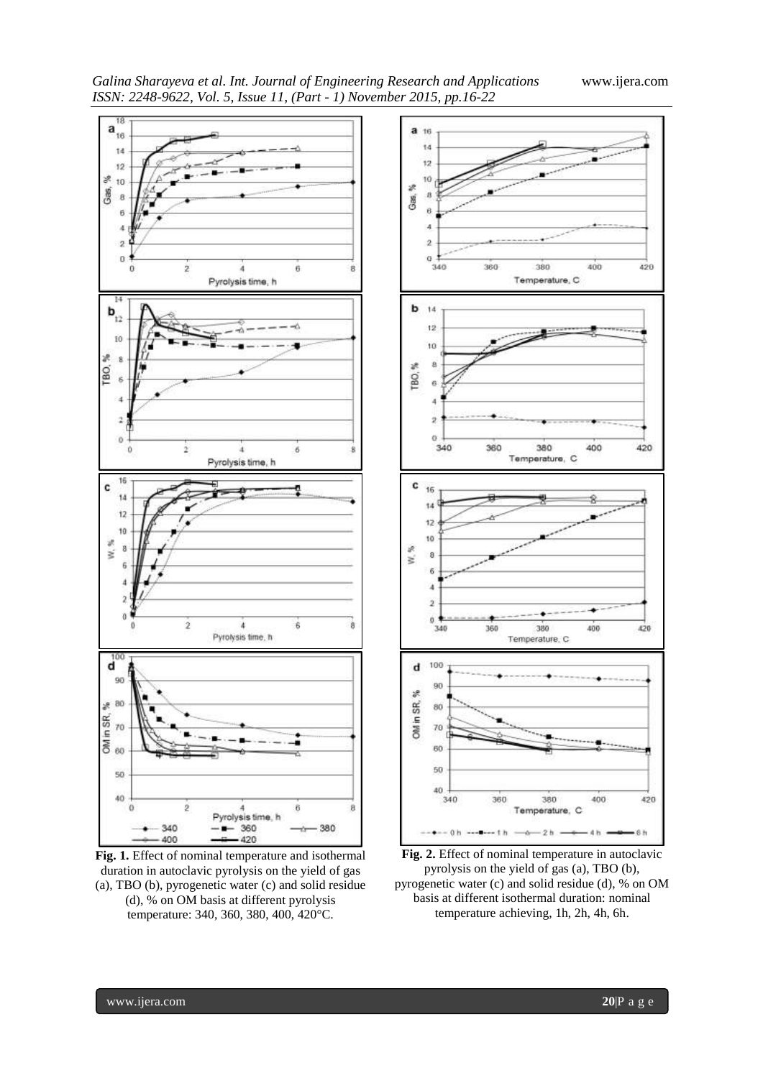*Galina Sharayeva et al. Int. Journal of Engineering Research and Applications* www.ijera.com *ISSN: 2248-9622, Vol. 5, Issue 11, (Part - 1) November 2015, pp.16-22*



**Fig. 1.** Effect of nominal temperature and isothermal duration in autoclavic pyrolysis on the yield of gas (a), TBO (b), pyrogenetic water (c) and solid residue (d), % on OM basis at different pyrolysis temperature: 340, 360, 380, 400, 420°C.



**Fig. 2.** Effect of nominal temperature in autoclavic pyrolysis on the yield of gas (a), TBO (b), pyrogenetic water (c) and solid residue (d), % on OM basis at different isothermal duration: nominal temperature achieving, 1h, 2h, 4h, 6h.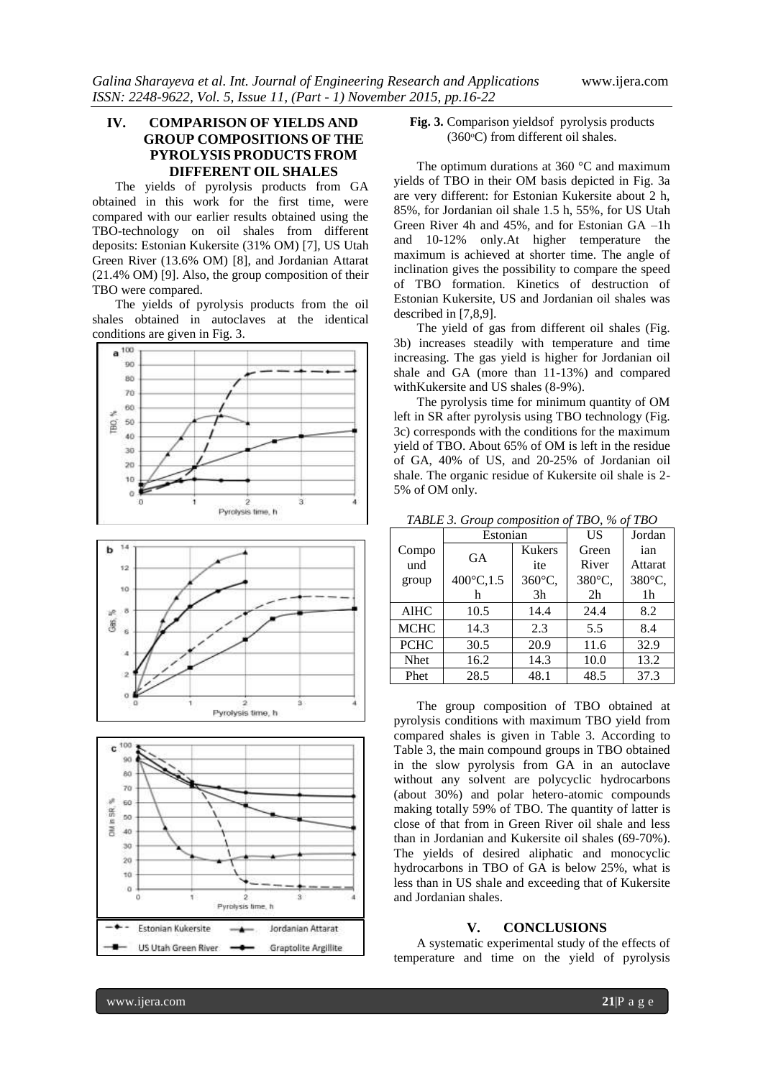# **IV. COMPARISON OF YIELDS AND GROUP COMPOSITIONS OF THE PYROLYSIS PRODUCTS FROM DIFFERENT OIL SHALES**

The yields of pyrolysis products from GA obtained in this work for the first time, were compared with our earlier results obtained using the TBO-technology on oil shales from different deposits: Estonian Kukersite (31% OM) [7], US Utah Green River (13.6% OM) [8], and Jordanian Attarat (21.4% OM) [9]. Also, the group composition of their TBO were compared.

The yields of pyrolysis products from the oil shales obtained in autoclaves at the identical







**Fig. 3.** Comparison yieldsof pyrolysis products (360ᵒC) from different oil shales.

The optimum durations at 360 °C and maximum yields of TBO in their OM basis depicted in Fig. 3a are very different: for Estonian Kukersite about 2 h, 85%, for Jordanian oil shale 1.5 h, 55%, for US Utah Green River 4h and 45%, and for Estonian GA –1h and 10-12% only.At higher temperature the maximum is achieved at shorter time. The angle of inclination gives the possibility to compare the speed of TBO formation. Kinetics of destruction of Estonian Kukersite, US and Jordanian oil shales was described in [7,8,9].

The yield of gas from different oil shales (Fig. 3b) increases steadily with temperature and time increasing. The gas yield is higher for Jordanian oil shale and GA (more than 11-13%) and compared withKukersite and US shales (8-9%).

The pyrolysis time for minimum quantity of OM left in SR after pyrolysis using TBO technology (Fig. 3c) corresponds with the conditions for the maximum yield of TBO. About 65% of OM is left in the residue of GA, 40% of US, and 20-25% of Jordanian oil shale. The organic residue of Kukersite oil shale is 2- 5% of OM only.

|             | Estonian  |               | US             | Jordan         |
|-------------|-----------|---------------|----------------|----------------|
| Compo       | <b>GA</b> | <b>Kukers</b> | Green          | ian            |
| und         |           | ite           | River          | Attarat        |
| group       | 400°C,1.5 | 360°C,        | 380°C,         | 380°C,         |
|             | h         | 3h            | 2 <sub>h</sub> | 1 <sub>h</sub> |
| <b>AlHC</b> | 10.5      | 14.4          | 24.4           | 8.2            |
| MCHC        | 14.3      | 2.3           | 5.5            | 8.4            |
| <b>PCHC</b> | 30.5      | 20.9          | 11.6           | 32.9           |
| <b>Nhet</b> | 16.2      | 14.3          | 10.0           | 13.2           |
| Phet        | 28.5      | 48.1          | 48.5           | 37.3           |

*TABLE 3. Group composition of TBO, % of TBO*

The group composition of TBO obtained at pyrolysis conditions with maximum TBO yield from compared shales is given in Table 3. According to Table 3, the main compound groups in TBO obtained in the slow pyrolysis from GA in an autoclave without any solvent are polycyclic hydrocarbons (about 30%) and polar hetero-atomic compounds making totally 59% of TBO. The quantity of latter is close of that from in Green River oil shale and less than in Jordanian and Kukersite oil shales (69-70%). The yields of desired aliphatic and monocyclic hydrocarbons in TBO of GA is below 25%, what is less than in US shale and exceeding that of Kukersite and Jordanian shales.

## **V. CONCLUSIONS**

A systematic experimental study of the effects of temperature and time on the yield of pyrolysis